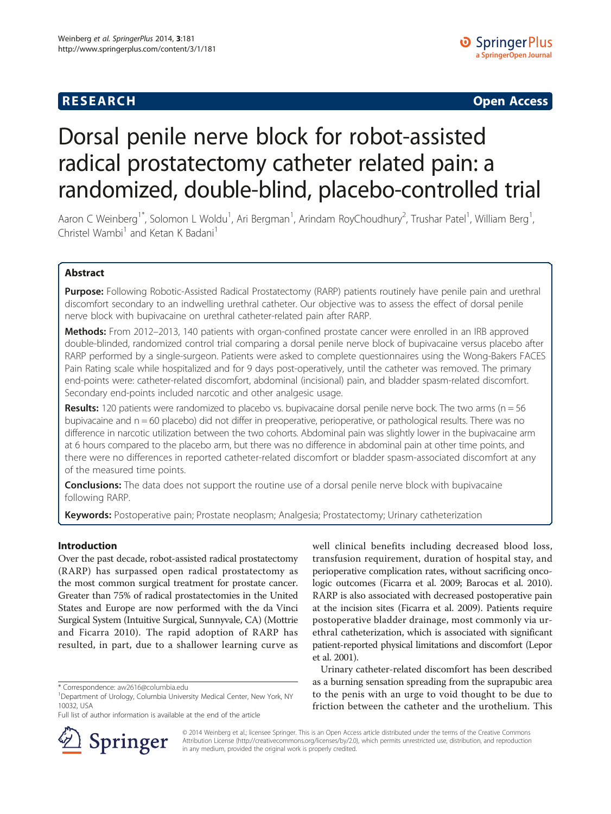## **RESEARCH CHE Open Access**

# Dorsal penile nerve block for robot-assisted radical prostatectomy catheter related pain: a randomized, double-blind, placebo-controlled trial

Aaron C Weinberg<sup>1\*</sup>, Solomon L Woldu<sup>1</sup>, Ari Bergman<sup>1</sup>, Arindam RoyChoudhury<sup>2</sup>, Trushar Patel<sup>1</sup>, William Berg<sup>1</sup> , Christel Wambi<sup>1</sup> and Ketan K Badani<sup>1</sup>

## Abstract

Purpose: Following Robotic-Assisted Radical Prostatectomy (RARP) patients routinely have penile pain and urethral discomfort secondary to an indwelling urethral catheter. Our objective was to assess the effect of dorsal penile nerve block with bupivacaine on urethral catheter-related pain after RARP.

Methods: From 2012–2013, 140 patients with organ-confined prostate cancer were enrolled in an IRB approved double-blinded, randomized control trial comparing a dorsal penile nerve block of bupivacaine versus placebo after RARP performed by a single-surgeon. Patients were asked to complete questionnaires using the Wong-Bakers FACES Pain Rating scale while hospitalized and for 9 days post-operatively, until the catheter was removed. The primary end-points were: catheter-related discomfort, abdominal (incisional) pain, and bladder spasm-related discomfort. Secondary end-points included narcotic and other analgesic usage.

Results: 120 patients were randomized to placebo vs. bupivacaine dorsal penile nerve bock. The two arms ( $n = 56$ ) bupivacaine and n = 60 placebo) did not differ in preoperative, perioperative, or pathological results. There was no difference in narcotic utilization between the two cohorts. Abdominal pain was slightly lower in the bupivacaine arm at 6 hours compared to the placebo arm, but there was no difference in abdominal pain at other time points, and there were no differences in reported catheter-related discomfort or bladder spasm-associated discomfort at any of the measured time points.

**Conclusions:** The data does not support the routine use of a dorsal penile nerve block with bupivacaine following RARP.

Keywords: Postoperative pain; Prostate neoplasm; Analgesia; Prostatectomy; Urinary catheterization

## Introduction

Over the past decade, robot-assisted radical prostatectomy (RARP) has surpassed open radical prostatectomy as the most common surgical treatment for prostate cancer. Greater than 75% of radical prostatectomies in the United States and Europe are now performed with the da Vinci Surgical System (Intuitive Surgical, Sunnyvale, CA) (Mottrie and Ficarra [2010\)](#page-6-0). The rapid adoption of RARP has resulted, in part, due to a shallower learning curve as

Full list of author information is available at the end of the article



well clinical benefits including decreased blood loss, transfusion requirement, duration of hospital stay, and perioperative complication rates, without sacrificing oncologic outcomes (Ficarra et al. [2009;](#page-6-0) Barocas et al. [2010](#page-5-0)). RARP is also associated with decreased postoperative pain at the incision sites (Ficarra et al. [2009](#page-6-0)). Patients require postoperative bladder drainage, most commonly via urethral catheterization, which is associated with significant patient-reported physical limitations and discomfort (Lepor et al. [2001\)](#page-6-0).

Urinary catheter-related discomfort has been described as a burning sensation spreading from the suprapubic area to the penis with an urge to void thought to be due to friction between the catheter and the urothelium. This

© 2014 Weinberg et al.; licensee Springer. This is an Open Access article distributed under the terms of the Creative Commons Attribution License [\(http://creativecommons.org/licenses/by/2.0\)](http://creativecommons.org/licenses/by/2.0), which permits unrestricted use, distribution, and reproduction in any medium, provided the original work is properly credited.

<sup>\*</sup> Correspondence: [aw2616@columbia.edu](mailto:aw2616@columbia.edu) <sup>1</sup>

<sup>&</sup>lt;sup>1</sup>Department of Urology, Columbia University Medical Center, New York, NY 10032, USA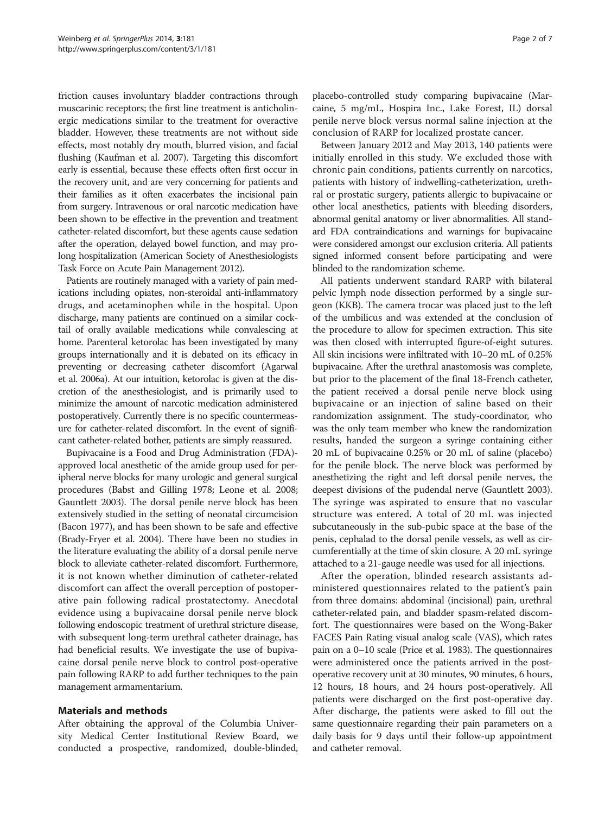friction causes involuntary bladder contractions through muscarinic receptors; the first line treatment is anticholinergic medications similar to the treatment for overactive bladder. However, these treatments are not without side effects, most notably dry mouth, blurred vision, and facial flushing (Kaufman et al. [2007\)](#page-6-0). Targeting this discomfort early is essential, because these effects often first occur in the recovery unit, and are very concerning for patients and their families as it often exacerbates the incisional pain from surgery. Intravenous or oral narcotic medication have been shown to be effective in the prevention and treatment catheter-related discomfort, but these agents cause sedation after the operation, delayed bowel function, and may prolong hospitalization (American Society of Anesthesiologists Task Force on Acute Pain Management [2012](#page-5-0)).

Patients are routinely managed with a variety of pain medications including opiates, non-steroidal anti-inflammatory drugs, and acetaminophen while in the hospital. Upon discharge, many patients are continued on a similar cocktail of orally available medications while convalescing at home. Parenteral ketorolac has been investigated by many groups internationally and it is debated on its efficacy in preventing or decreasing catheter discomfort (Agarwal et al. [2006a\)](#page-5-0). At our intuition, ketorolac is given at the discretion of the anesthesiologist, and is primarily used to minimize the amount of narcotic medication administered postoperatively. Currently there is no specific countermeasure for catheter-related discomfort. In the event of significant catheter-related bother, patients are simply reassured.

Bupivacaine is a Food and Drug Administration (FDA) approved local anesthetic of the amide group used for peripheral nerve blocks for many urologic and general surgical procedures (Babst and Gilling [1978;](#page-5-0) Leone et al. [2008](#page-6-0); Gauntlett [2003\)](#page-6-0). The dorsal penile nerve block has been extensively studied in the setting of neonatal circumcision (Bacon [1977\)](#page-5-0), and has been shown to be safe and effective (Brady-Fryer et al. [2004\)](#page-5-0). There have been no studies in the literature evaluating the ability of a dorsal penile nerve block to alleviate catheter-related discomfort. Furthermore, it is not known whether diminution of catheter-related discomfort can affect the overall perception of postoperative pain following radical prostatectomy. Anecdotal evidence using a bupivacaine dorsal penile nerve block following endoscopic treatment of urethral stricture disease, with subsequent long-term urethral catheter drainage, has had beneficial results. We investigate the use of bupivacaine dorsal penile nerve block to control post-operative pain following RARP to add further techniques to the pain management armamentarium.

## Materials and methods

After obtaining the approval of the Columbia University Medical Center Institutional Review Board, we conducted a prospective, randomized, double-blinded,

placebo-controlled study comparing bupivacaine (Marcaine, 5 mg/mL, Hospira Inc., Lake Forest, IL) dorsal penile nerve block versus normal saline injection at the conclusion of RARP for localized prostate cancer.

Between January 2012 and May 2013, 140 patients were initially enrolled in this study. We excluded those with chronic pain conditions, patients currently on narcotics, patients with history of indwelling-catheterization, urethral or prostatic surgery, patients allergic to bupivacaine or other local anesthetics, patients with bleeding disorders, abnormal genital anatomy or liver abnormalities. All standard FDA contraindications and warnings for bupivacaine were considered amongst our exclusion criteria. All patients signed informed consent before participating and were blinded to the randomization scheme.

All patients underwent standard RARP with bilateral pelvic lymph node dissection performed by a single surgeon (KKB). The camera trocar was placed just to the left of the umbilicus and was extended at the conclusion of the procedure to allow for specimen extraction. This site was then closed with interrupted figure-of-eight sutures. All skin incisions were infiltrated with 10–20 mL of 0.25% bupivacaine. After the urethral anastomosis was complete, but prior to the placement of the final 18-French catheter, the patient received a dorsal penile nerve block using bupivacaine or an injection of saline based on their randomization assignment. The study-coordinator, who was the only team member who knew the randomization results, handed the surgeon a syringe containing either 20 mL of bupivacaine 0.25% or 20 mL of saline (placebo) for the penile block. The nerve block was performed by anesthetizing the right and left dorsal penile nerves, the deepest divisions of the pudendal nerve (Gauntlett [2003](#page-6-0)). The syringe was aspirated to ensure that no vascular structure was entered. A total of 20 mL was injected subcutaneously in the sub-pubic space at the base of the penis, cephalad to the dorsal penile vessels, as well as circumferentially at the time of skin closure. A 20 mL syringe attached to a 21-gauge needle was used for all injections.

After the operation, blinded research assistants administered questionnaires related to the patient's pain from three domains: abdominal (incisional) pain, urethral catheter-related pain, and bladder spasm-related discomfort. The questionnaires were based on the Wong-Baker FACES Pain Rating visual analog scale (VAS), which rates pain on a 0–10 scale (Price et al. [1983](#page-6-0)). The questionnaires were administered once the patients arrived in the postoperative recovery unit at 30 minutes, 90 minutes, 6 hours, 12 hours, 18 hours, and 24 hours post-operatively. All patients were discharged on the first post-operative day. After discharge, the patients were asked to fill out the same questionnaire regarding their pain parameters on a daily basis for 9 days until their follow-up appointment and catheter removal.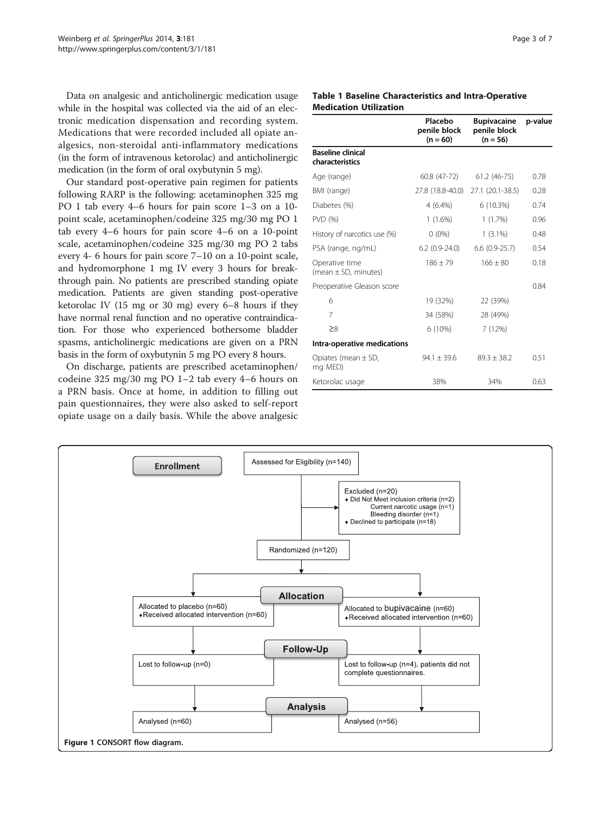<span id="page-2-0"></span>Data on analgesic and anticholinergic medication usage while in the hospital was collected via the aid of an electronic medication dispensation and recording system. Medications that were recorded included all opiate analgesics, non-steroidal anti-inflammatory medications (in the form of intravenous ketorolac) and anticholinergic medication (in the form of oral oxybutynin 5 mg).

Our standard post-operative pain regimen for patients following RARP is the following: acetaminophen 325 mg PO 1 tab every 4–6 hours for pain score 1–3 on a 10 point scale, acetaminophen/codeine 325 mg/30 mg PO 1 tab every 4–6 hours for pain score 4–6 on a 10-point scale, acetaminophen/codeine 325 mg/30 mg PO 2 tabs every 4- 6 hours for pain score 7–10 on a 10-point scale, and hydromorphone 1 mg IV every 3 hours for breakthrough pain. No patients are prescribed standing opiate medication. Patients are given standing post-operative ketorolac IV (15 mg or 30 mg) every 6–8 hours if they have normal renal function and no operative contraindication. For those who experienced bothersome bladder spasms, anticholinergic medications are given on a PRN basis in the form of oxybutynin 5 mg PO every 8 hours.

On discharge, patients are prescribed acetaminophen/ codeine 325 mg/30 mg PO 1–2 tab every 4–6 hours on a PRN basis. Once at home, in addition to filling out pain questionnaires, they were also asked to self-report opiate usage on a daily basis. While the above analgesic

## Table 1 Baseline Characteristics and Intra-Operative Medication Utilization

|                                             | Placebo<br>penile block<br>$(n = 60)$ | <b>Bupivacaine</b><br>penile block<br>$(n = 56)$ | p-value |
|---------------------------------------------|---------------------------------------|--------------------------------------------------|---------|
| <b>Baseline clinical</b><br>characteristics |                                       |                                                  |         |
| Age (range)                                 | 60.8 (47-72)                          | $61.2(46-75)$                                    | 0.78    |
| BMI (range)                                 | 27.8 (18.8-40.0)                      | 27.1 (20.1-38.5)                                 | 0.28    |
| Diabetes (%)                                | $4(6.4\%)$                            | 6 (10.3%)                                        | 0.74    |
| PVD (%)                                     | 1(1.6%)                               | 1(1.7%)                                          | 0.96    |
| History of narcotics use (%)                | $0(0\%)$                              | $1(3.1\%)$                                       | 0.48    |
| PSA (range, ng/mL)                          | $6.2(0.9-24.0)$                       | $6.6(0.9-25.7)$                                  | 0.54    |
| Operative time<br>(mean $\pm$ SD, minutes)  | $186 \pm 79$                          | $166 + 80$                                       | 0.18    |
| Preoperative Gleason score                  |                                       |                                                  | 0.84    |
| 6                                           | 19 (32%)                              | 22 (39%)                                         |         |
| 7                                           | 34 (58%)                              | 28 (49%)                                         |         |
| $\geq 8$                                    | $6(10\%)$                             | 7(12%)                                           |         |
| Intra-operative medications                 |                                       |                                                  |         |
| Opiates (mean $\pm$ SD,<br>mg MED)          | $94.1 + 39.6$                         | $89.3 + 38.2$                                    | 0.51    |
| Ketorolac usage                             | 38%                                   | 34%                                              | 0.63    |

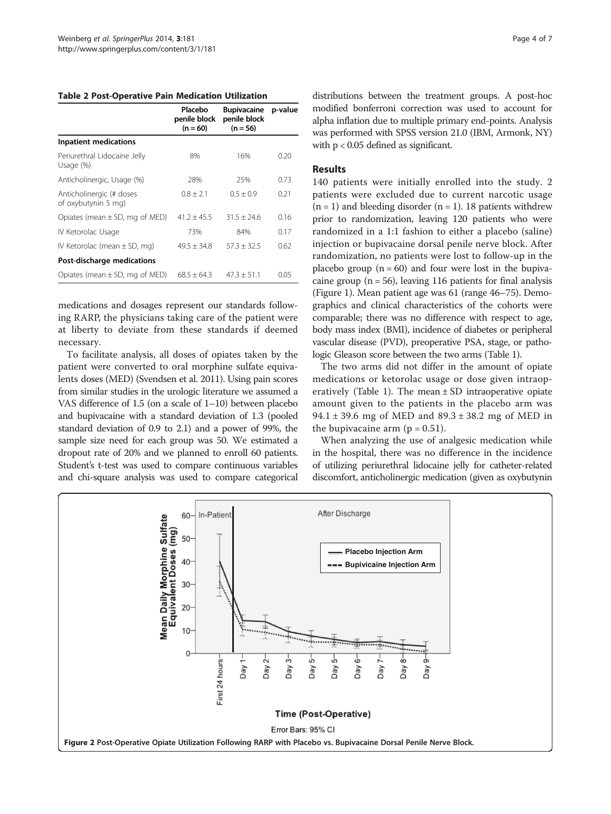<span id="page-3-0"></span>

| <b>Table 2 Post-Operative Pain Medication Utilization</b> |  |  |
|-----------------------------------------------------------|--|--|
|-----------------------------------------------------------|--|--|

|                                                 | Placebo<br>penile block<br>$(n = 60)$ | <b>Bupivacaine</b><br>penile block<br>$(n = 56)$ | p-value |
|-------------------------------------------------|---------------------------------------|--------------------------------------------------|---------|
| Inpatient medications                           |                                       |                                                  |         |
| Periurethral Lidocaine Jelly<br>Usage $(\%)$    | 8%                                    | 16%                                              | 0.20    |
| Anticholinergic, Usage (%)                      | 28%                                   | 25%                                              | 0.73    |
| Anticholinergic (# doses<br>of oxybutynin 5 mg) | $0.8 + 2.1$                           | $0.5 + 0.9$                                      | 0.21    |
| Opiates (mean $\pm$ SD, mg of MED)              | $41.2 + 45.5$                         | $31.5 + 24.6$                                    | 0.16    |
| IV Ketorolac Usage                              | 73%                                   | 84%                                              | 0.17    |
| IV Ketorolac (mean $\pm$ SD, mg)                | $49.5 + 34.8$                         | $57.3 + 32.5$                                    | 0.62    |
| Post-discharge medications                      |                                       |                                                  |         |
| Opiates (mean $\pm$ SD, mg of MED)              | $68.5 \pm 64.3$                       | $47.3 \pm 51.1$                                  | 0.05    |

medications and dosages represent our standards following RARP, the physicians taking care of the patient were at liberty to deviate from these standards if deemed necessary.

To facilitate analysis, all doses of opiates taken by the patient were converted to oral morphine sulfate equivalents doses (MED) (Svendsen et al. [2011](#page-6-0)). Using pain scores from similar studies in the urologic literature we assumed a VAS difference of 1.5 (on a scale of 1–10) between placebo and bupivacaine with a standard deviation of 1.3 (pooled standard deviation of 0.9 to 2.1) and a power of 99%, the sample size need for each group was 50. We estimated a dropout rate of 20% and we planned to enroll 60 patients. Student's t-test was used to compare continuous variables and chi-square analysis was used to compare categorical distributions between the treatment groups. A post-hoc modified bonferroni correction was used to account for alpha inflation due to multiple primary end-points. Analysis was performed with SPSS version 21.0 (IBM, Armonk, NY) with p < 0.05 defined as significant.

#### Results

140 patients were initially enrolled into the study. 2 patients were excluded due to current narcotic usage  $(n = 1)$  and bleeding disorder  $(n = 1)$ . 18 patients withdrew prior to randomization, leaving 120 patients who were randomized in a 1:1 fashion to either a placebo (saline) injection or bupivacaine dorsal penile nerve block. After randomization, no patients were lost to follow-up in the placebo group  $(n = 60)$  and four were lost in the bupivacaine group ( $n = 56$ ), leaving 116 patients for final analysis (Figure [1](#page-2-0)). Mean patient age was 61 (range 46–75). Demographics and clinical characteristics of the cohorts were comparable; there was no difference with respect to age, body mass index (BMI), incidence of diabetes or peripheral vascular disease (PVD), preoperative PSA, stage, or pathologic Gleason score between the two arms (Table [1\)](#page-2-0).

The two arms did not differ in the amount of opiate medications or ketorolac usage or dose given intraop-eratively (Table [1](#page-2-0)). The mean  $\pm$  SD intraoperative opiate amount given to the patients in the placebo arm was 94.1 ± 39.6 mg of MED and 89.3 ± 38.2 mg of MED in the bupivacaine arm  $(p = 0.51)$ .

When analyzing the use of analgesic medication while in the hospital, there was no difference in the incidence of utilizing periurethral lidocaine jelly for catheter-related discomfort, anticholinergic medication (given as oxybutynin

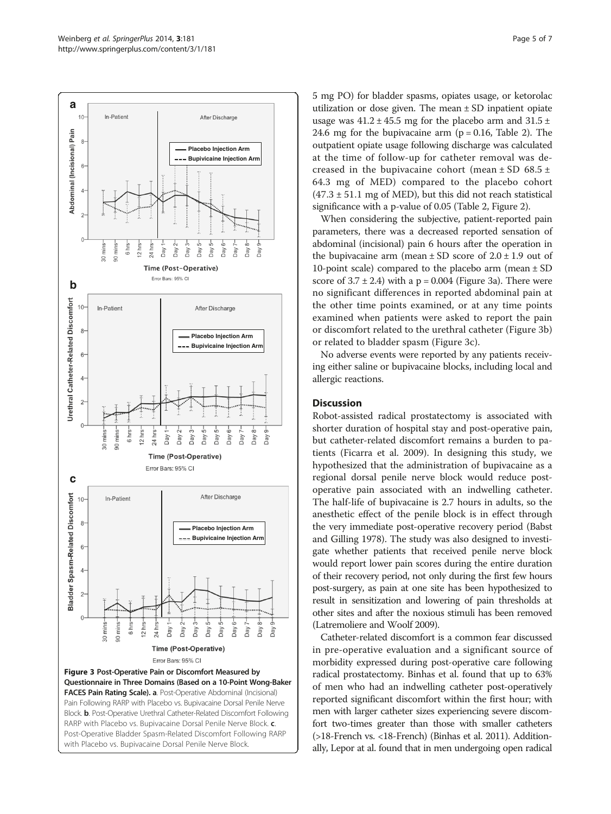

5 mg PO) for bladder spasms, opiates usage, or ketorolac utilization or dose given. The mean  $\pm$  SD inpatient opiate usage was  $41.2 \pm 45.5$  mg for the placebo arm and  $31.5 \pm$ 24.6 mg for the bupivacaine arm  $(p = 0.16,$  Table [2\)](#page-3-0). The outpatient opiate usage following discharge was calculated at the time of follow-up for catheter removal was decreased in the bupivacaine cohort (mean  $\pm$  SD 68.5  $\pm$ 64.3 mg of MED) compared to the placebo cohort  $(47.3 \pm 51.1 \text{ mg of MED})$ , but this did not reach statistical significance with a p-value of 0.05 (Table [2,](#page-3-0) Figure [2](#page-3-0)).

When considering the subjective, patient-reported pain parameters, there was a decreased reported sensation of abdominal (incisional) pain 6 hours after the operation in the bupivacaine arm (mean  $\pm$  SD score of 2.0  $\pm$  1.9 out of 10-point scale) compared to the placebo arm (mean  $\pm$  SD score of  $3.7 \pm 2.4$ ) with a p = 0.004 (Figure 3a). There were no significant differences in reported abdominal pain at the other time points examined, or at any time points examined when patients were asked to report the pain or discomfort related to the urethral catheter (Figure 3b) or related to bladder spasm (Figure 3c).

No adverse events were reported by any patients receiving either saline or bupivacaine blocks, including local and allergic reactions.

## **Discussion**

Robot-assisted radical prostatectomy is associated with shorter duration of hospital stay and post-operative pain, but catheter-related discomfort remains a burden to patients (Ficarra et al. [2009](#page-6-0)). In designing this study, we hypothesized that the administration of bupivacaine as a regional dorsal penile nerve block would reduce postoperative pain associated with an indwelling catheter. The half-life of bupivacaine is 2.7 hours in adults, so the anesthetic effect of the penile block is in effect through the very immediate post-operative recovery period (Babst and Gilling [1978\)](#page-5-0). The study was also designed to investigate whether patients that received penile nerve block would report lower pain scores during the entire duration of their recovery period, not only during the first few hours post-surgery, as pain at one site has been hypothesized to result in sensitization and lowering of pain thresholds at other sites and after the noxious stimuli has been removed (Latremoliere and Woolf [2009\)](#page-6-0).

Catheter-related discomfort is a common fear discussed in pre-operative evaluation and a significant source of morbidity expressed during post-operative care following radical prostatectomy. Binhas et al. found that up to 63% of men who had an indwelling catheter post-operatively reported significant discomfort within the first hour; with men with larger catheter sizes experiencing severe discomfort two-times greater than those with smaller catheters (>18-French vs. <18-French) (Binhas et al. [2011](#page-5-0)). Additionally, Lepor at al. found that in men undergoing open radical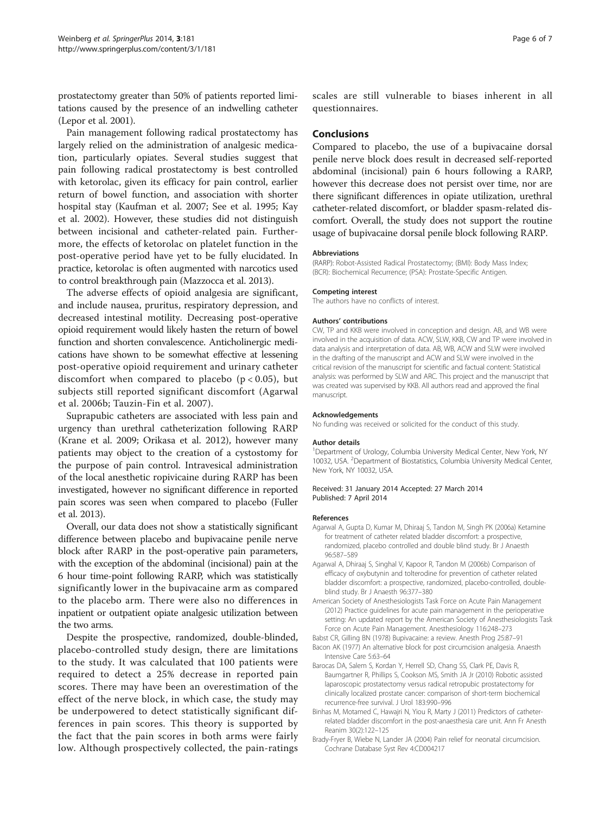<span id="page-5-0"></span>prostatectomy greater than 50% of patients reported limitations caused by the presence of an indwelling catheter (Lepor et al. [2001\)](#page-6-0).

Pain management following radical prostatectomy has largely relied on the administration of analgesic medication, particularly opiates. Several studies suggest that pain following radical prostatectomy is best controlled with ketorolac, given its efficacy for pain control, earlier return of bowel function, and association with shorter hospital stay (Kaufman et al. [2007;](#page-6-0) See et al. [1995](#page-6-0); Kay et al. [2002](#page-6-0)). However, these studies did not distinguish between incisional and catheter-related pain. Furthermore, the effects of ketorolac on platelet function in the post-operative period have yet to be fully elucidated. In practice, ketorolac is often augmented with narcotics used to control breakthrough pain (Mazzocca et al. [2013\)](#page-6-0).

The adverse effects of opioid analgesia are significant, and include nausea, pruritus, respiratory depression, and decreased intestinal motility. Decreasing post-operative opioid requirement would likely hasten the return of bowel function and shorten convalescence. Anticholinergic medications have shown to be somewhat effective at lessening post-operative opioid requirement and urinary catheter discomfort when compared to placebo ( $p < 0.05$ ), but subjects still reported significant discomfort (Agarwal et al. 2006b; Tauzin-Fin et al. [2007](#page-6-0)).

Suprapubic catheters are associated with less pain and urgency than urethral catheterization following RARP (Krane et al. [2009](#page-6-0); Orikasa et al. [2012](#page-6-0)), however many patients may object to the creation of a cystostomy for the purpose of pain control. Intravesical administration of the local anesthetic ropivicaine during RARP has been investigated, however no significant difference in reported pain scores was seen when compared to placebo (Fuller et al. [2013](#page-6-0)).

Overall, our data does not show a statistically significant difference between placebo and bupivacaine penile nerve block after RARP in the post-operative pain parameters, with the exception of the abdominal (incisional) pain at the 6 hour time-point following RARP, which was statistically significantly lower in the bupivacaine arm as compared to the placebo arm. There were also no differences in inpatient or outpatient opiate analgesic utilization between the two arms.

Despite the prospective, randomized, double-blinded, placebo-controlled study design, there are limitations to the study. It was calculated that 100 patients were required to detect a 25% decrease in reported pain scores. There may have been an overestimation of the effect of the nerve block, in which case, the study may be underpowered to detect statistically significant differences in pain scores. This theory is supported by the fact that the pain scores in both arms were fairly low. Although prospectively collected, the pain-ratings scales are still vulnerable to biases inherent in all questionnaires.

### **Conclusions**

Compared to placebo, the use of a bupivacaine dorsal penile nerve block does result in decreased self-reported abdominal (incisional) pain 6 hours following a RARP, however this decrease does not persist over time, nor are there significant differences in opiate utilization, urethral catheter-related discomfort, or bladder spasm-related discomfort. Overall, the study does not support the routine usage of bupivacaine dorsal penile block following RARP.

#### Abbreviations

(RARP): Robot-Assisted Radical Prostatectomy; (BMI): Body Mass Index; (BCR): Biochemical Recurrence; (PSA): Prostate-Specific Antigen.

#### Competing interest

The authors have no conflicts of interest.

#### Authors' contributions

CW, TP and KKB were involved in conception and design. AB, and WB were involved in the acquisition of data. ACW, SLW, KKB, CW and TP were involved in data analysis and interpretation of data. AB, WB, ACW and SLW were involved in the drafting of the manuscript and ACW and SLW were involved in the critical revision of the manuscript for scientific and factual content: Statistical analysis: was performed by SLW and ARC. This project and the manuscript that was created was supervised by KKB. All authors read and approved the final manuscript.

#### Acknowledgements

No funding was received or solicited for the conduct of this study.

#### Author details

<sup>1</sup>Department of Urology, Columbia University Medical Center, New York, NY 10032, USA. <sup>2</sup> Department of Biostatistics, Columbia University Medical Center, New York, NY 10032, USA.

#### Received: 31 January 2014 Accepted: 27 March 2014 Published: 7 April 2014

#### References

- Agarwal A, Gupta D, Kumar M, Dhiraaj S, Tandon M, Singh PK (2006a) Ketamine for treatment of catheter related bladder discomfort: a prospective, randomized, placebo controlled and double blind study. Br J Anaesth 96:587–589
- Agarwal A, Dhiraaj S, Singhal V, Kapoor R, Tandon M (2006b) Comparison of efficacy of oxybutynin and tolterodine for prevention of catheter related bladder discomfort: a prospective, randomized, placebo-controlled, doubleblind study. Br J Anaesth 96:377–380
- American Society of Anesthesiologists Task Force on Acute Pain Management (2012) Practice guidelines for acute pain management in the perioperative setting: An updated report by the American Society of Anesthesiologists Task Force on Acute Pain Management. Anesthesiology 116:248–273
- Babst CR, Gilling BN (1978) Bupivacaine: a review. Anesth Prog 25:87–91
- Bacon AK (1977) An alternative block for post circumcision analgesia. Anaesth Intensive Care 5:63–64
- Barocas DA, Salem S, Kordan Y, Herrell SD, Chang SS, Clark PE, Davis R, Baumgartner R, Phillips S, Cookson MS, Smith JA Jr (2010) Robotic assisted laparoscopic prostatectomy versus radical retropubic prostatectomy for clinically localized prostate cancer: comparison of short-term biochemical recurrence-free survival. J Urol 183:990–996
- Binhas M, Motamed C, Hawajri N, Yiou R, Marty J (2011) Predictors of catheterrelated bladder discomfort in the post-anaesthesia care unit. Ann Fr Anesth Reanim 30(2):122–125
- Brady-Fryer B, Wiebe N, Lander JA (2004) Pain relief for neonatal circumcision. Cochrane Database Syst Rev 4:CD004217